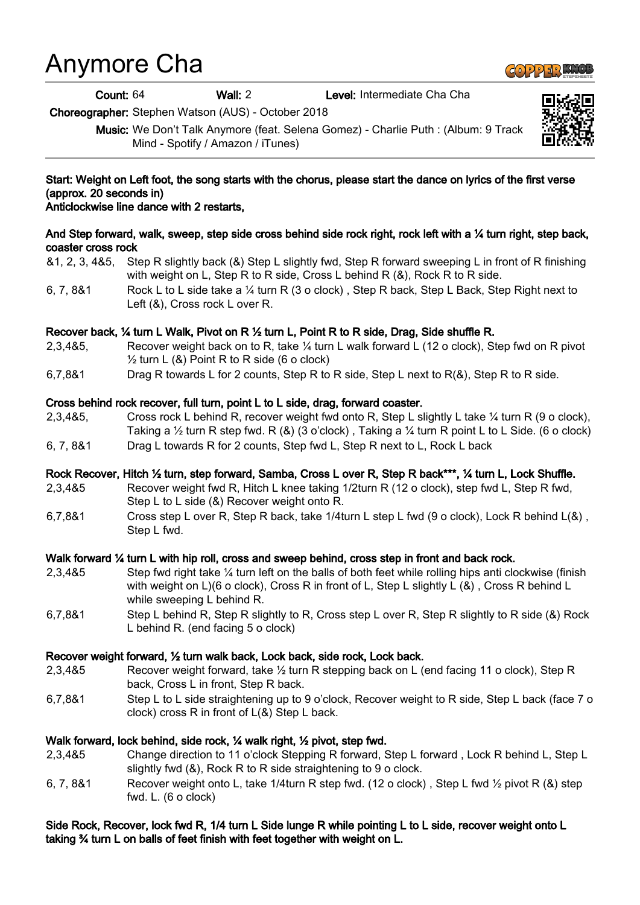# Anymore Cha

Count: 64 Wall: 2 Level: Intermediate Cha Cha

Choreographer: Stephen Watson (AUS) - October 2018

Music: We Don't Talk Anymore (feat. Selena Gomez) - Charlie Puth : (Album: 9 Track Mind - Spotify / Amazon / iTunes)

## Start: Weight on Left foot, the song starts with the chorus, please start the dance on lyrics of the first verse (approx. 20 seconds in)

## Anticlockwise line dance with 2 restarts,

## And Step forward, walk, sweep, step side cross behind side rock right, rock left with a 1/4 turn right, step back, coaster cross rock

&1, 2, 3, 4&5, Step R slightly back (&) Step L slightly fwd, Step R forward sweeping L in front of R finishing with weight on L, Step R to R side, Cross L behind R (&), Rock R to R side.

6, 7, 8&1 Rock L to L side take a ¼ turn R (3 o clock) , Step R back, Step L Back, Step Right next to Left (&), Cross rock L over R.

## Recover back, ¼ turn L Walk, Pivot on R ½ turn L, Point R to R side, Drag, Side shuffle R.

- 2,3,4&5, Recover weight back on to R, take ¼ turn L walk forward L (12 o clock), Step fwd on R pivot  $\frac{1}{2}$  turn L (&) Point R to R side (6 o clock)
- 6,7,8&1 Drag R towards L for 2 counts, Step R to R side, Step L next to R(&), Step R to R side.

## Cross behind rock recover, full turn, point L to L side, drag, forward coaster.

- 2,3,4&5, Cross rock L behind R, recover weight fwd onto R, Step L slightly L take ¼ turn R (9 o clock), Taking a  $\frac{1}{2}$  turn R step fwd. R  $(8)$  (3 o'clock), Taking a  $\frac{1}{4}$  turn R point L to L Side. (6 o clock)
- 6, 7, 8&1 Drag L towards R for 2 counts, Step fwd L, Step R next to L, Rock L back

#### Rock Recover, Hitch ½ turn, step forward, Samba, Cross L over R, Step R back\*\*\*, ¼ turn L, Lock Shuffle.

- 2,3,4&5 Recover weight fwd R, Hitch L knee taking 1/2turn R (12 o clock), step fwd L, Step R fwd, Step L to L side (&) Recover weight onto R.
- 6,7,8&1 Cross step L over R, Step R back, take 1/4turn L step L fwd (9 o clock), Lock R behind L(&) , Step L fwd.

#### Walk forward ¼ turn L with hip roll, cross and sweep behind, cross step in front and back rock.

- 2,3,4&5 Step fwd right take ¼ turn left on the balls of both feet while rolling hips anti clockwise (finish with weight on L)(6 o clock), Cross R in front of L, Step L slightly L (&) , Cross R behind L while sweeping L behind R.
- 6,7,8&1 Step L behind R, Step R slightly to R, Cross step L over R, Step R slightly to R side (&) Rock L behind R. (end facing 5 o clock)

## Recover weight forward, ½ turn walk back, Lock back, side rock, Lock back.

- 2,3,4&5 Recover weight forward, take ½ turn R stepping back on L (end facing 11 o clock), Step R back, Cross L in front, Step R back.
- 6,7,8&1 Step L to L side straightening up to 9 o'clock, Recover weight to R side, Step L back (face 7 o clock) cross R in front of L(&) Step L back.

## Walk forward, lock behind, side rock, ¼ walk right, ½ pivot, step fwd.

- 2,3,4&5 Change direction to 11 o'clock Stepping R forward, Step L forward , Lock R behind L, Step L slightly fwd (&), Rock R to R side straightening to 9 o clock.
- 6, 7, 8&1 Recover weight onto L, take 1/4turn R step fwd. (12 o clock) , Step L fwd ½ pivot R (&) step fwd. L. (6 o clock)

### Side Rock, Recover, lock fwd R, 1/4 turn L Side lunge R while pointing L to L side, recover weight onto L taking ¾ turn L on balls of feet finish with feet together with weight on L.